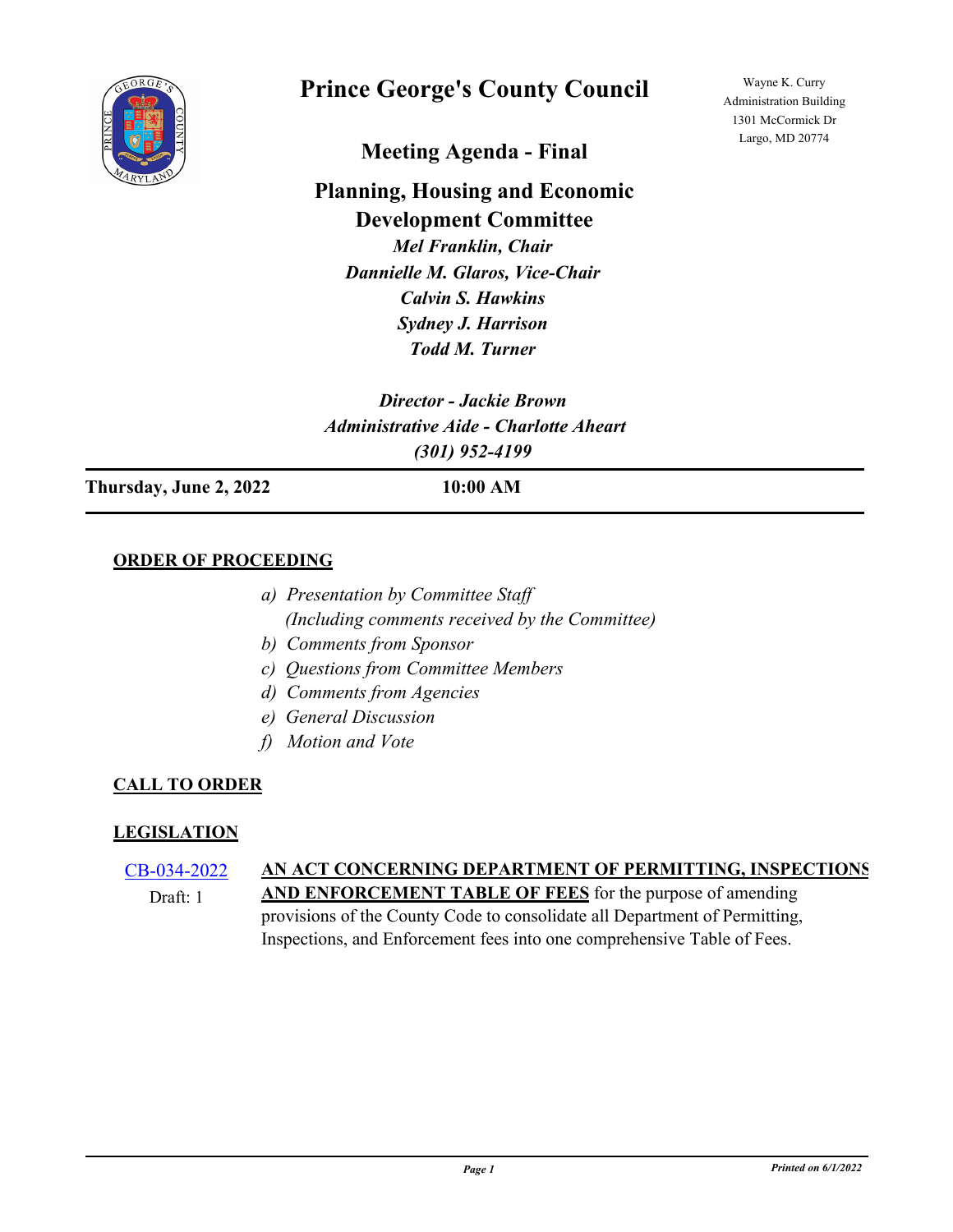

# **Prince George's County Council**

Wayne K. Curry Administration Building 1301 McCormick Dr Largo, MD 20774

**Meeting Agenda - Final**

# **Planning, Housing and Economic Development Committee**

*Mel Franklin, Chair Dannielle M. Glaros, Vice-Chair Calvin S. Hawkins Sydney J. Harrison Todd M. Turner*

*Director - Jackie Brown Administrative Aide - Charlotte Aheart (301) 952-4199*

**Thursday, June 2, 2022 10:00 AM**

## **ORDER OF PROCEEDING**

- *a) Presentation by Committee Staff (Including comments received by the Committee)*
- *b) Comments from Sponsor*
- *c) Questions from Committee Members*
- *d) Comments from Agencies*
- *e) General Discussion*
- *f) Motion and Vote*

# **CALL TO ORDER**

## **LEGISLATION**

# [CB-034-2022](http://princegeorgescountymd.legistar.com/gateway.aspx?m=l&id=/matter.aspx?key=14754) **AN ACT CONCERNING DEPARTMENT OF PERMITTING, INSPECTIONS,**

Draft: 1

**AND ENFORCEMENT TABLE OF FEES** for the purpose of amending provisions of the County Code to consolidate all Department of Permitting, Inspections, and Enforcement fees into one comprehensive Table of Fees.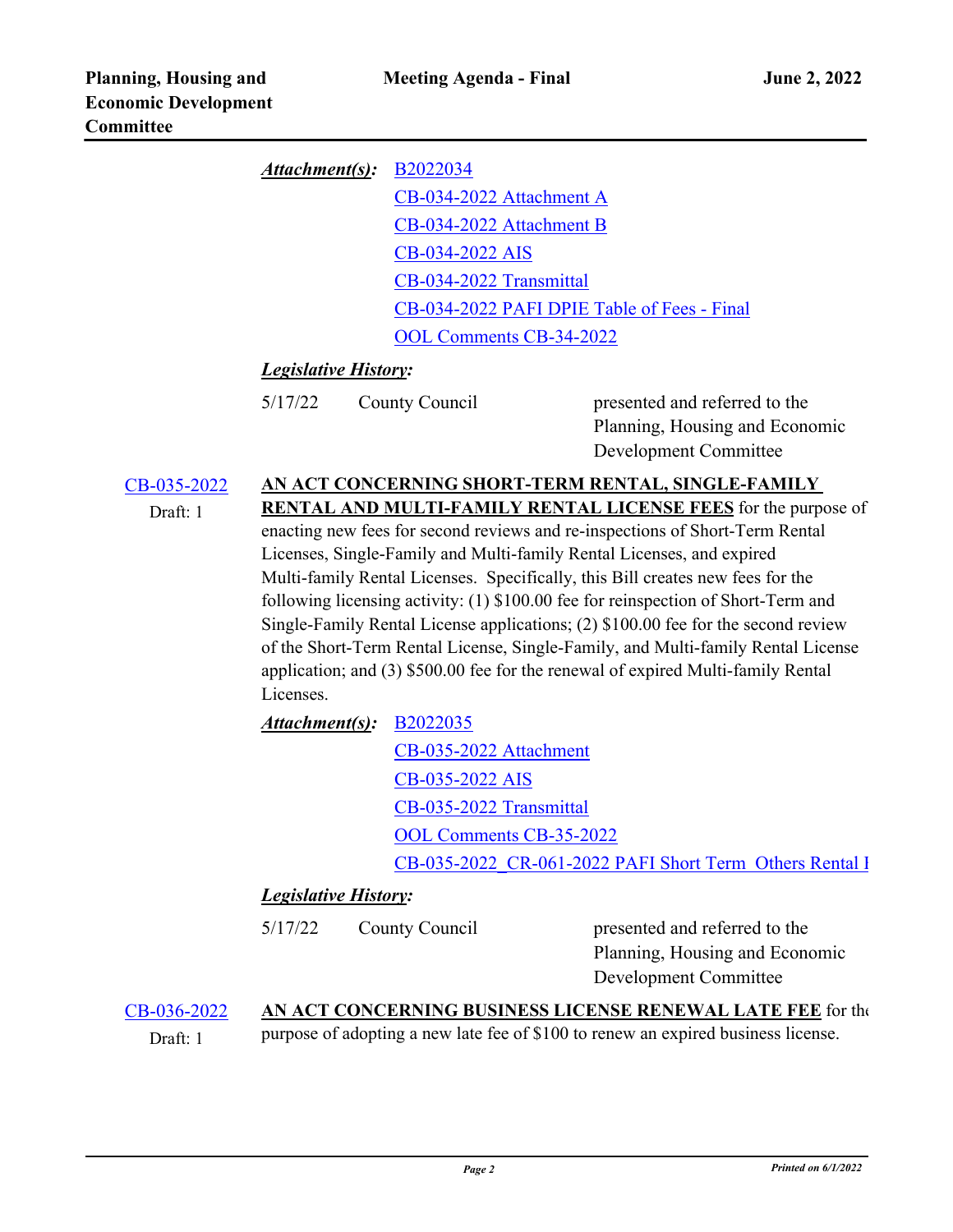| <i>Attachment(s)</i> : B2022034 |                                             |
|---------------------------------|---------------------------------------------|
|                                 | CB-034-2022 Attachment A                    |
|                                 | CB-034-2022 Attachment B                    |
|                                 | CB-034-2022 AIS                             |
|                                 | CB-034-2022 Transmittal                     |
|                                 | CB-034-2022 PAFI DPIE Table of Fees - Final |
|                                 | <b>OOL Comments CB-34-2022</b>              |

# *Legislative History:*

presented and referred to the Planning, Housing and Economic Development Committee

#### [CB-035-2022](http://princegeorgescountymd.legistar.com/gateway.aspx?m=l&id=/matter.aspx?key=14702) **AN ACT CONCERNING SHORT-TERM RENTAL, SINGLE-FAMILY RENTAL AND MULTI-FAMILY RENTAL LICENSE FEES** for the purpose of Draft: 1

enacting new fees for second reviews and re-inspections of Short-Term Rental Licenses, Single-Family and Multi-family Rental Licenses, and expired Multi-family Rental Licenses. Specifically, this Bill creates new fees for the following licensing activity: (1) \$100.00 fee for reinspection of Short-Term and Single-Family Rental License applications; (2) \$100.00 fee for the second review of the Short-Term Rental License, Single-Family, and Multi-family Rental License application; and (3) \$500.00 fee for the renewal of expired Multi-family Rental Licenses.

| Attachment(s): <b>B2022035</b> |                                                         |
|--------------------------------|---------------------------------------------------------|
|                                | CB-035-2022 Attachment                                  |
|                                | CB-035-2022 AIS                                         |
|                                | CB-035-2022 Transmittal                                 |
|                                | <b>OOL Comments CB-35-2022</b>                          |
|                                | CB-035-2022 CR-061-2022 PAFI Short Term Others Rental I |

# *Legislative History:*

| 5/17/22 | County Council | presented and referred to the  |
|---------|----------------|--------------------------------|
|         |                | Planning, Housing and Economic |
|         |                | Development Committee          |

## [CB-036-2022](http://princegeorgescountymd.legistar.com/gateway.aspx?m=l&id=/matter.aspx?key=14704) **AN ACT CONCERNING BUSINESS LICENSE RENEWAL LATE FEE** for the Draft: 1 purpose of adopting a new late fee of  $$100$  to renew an expired business license.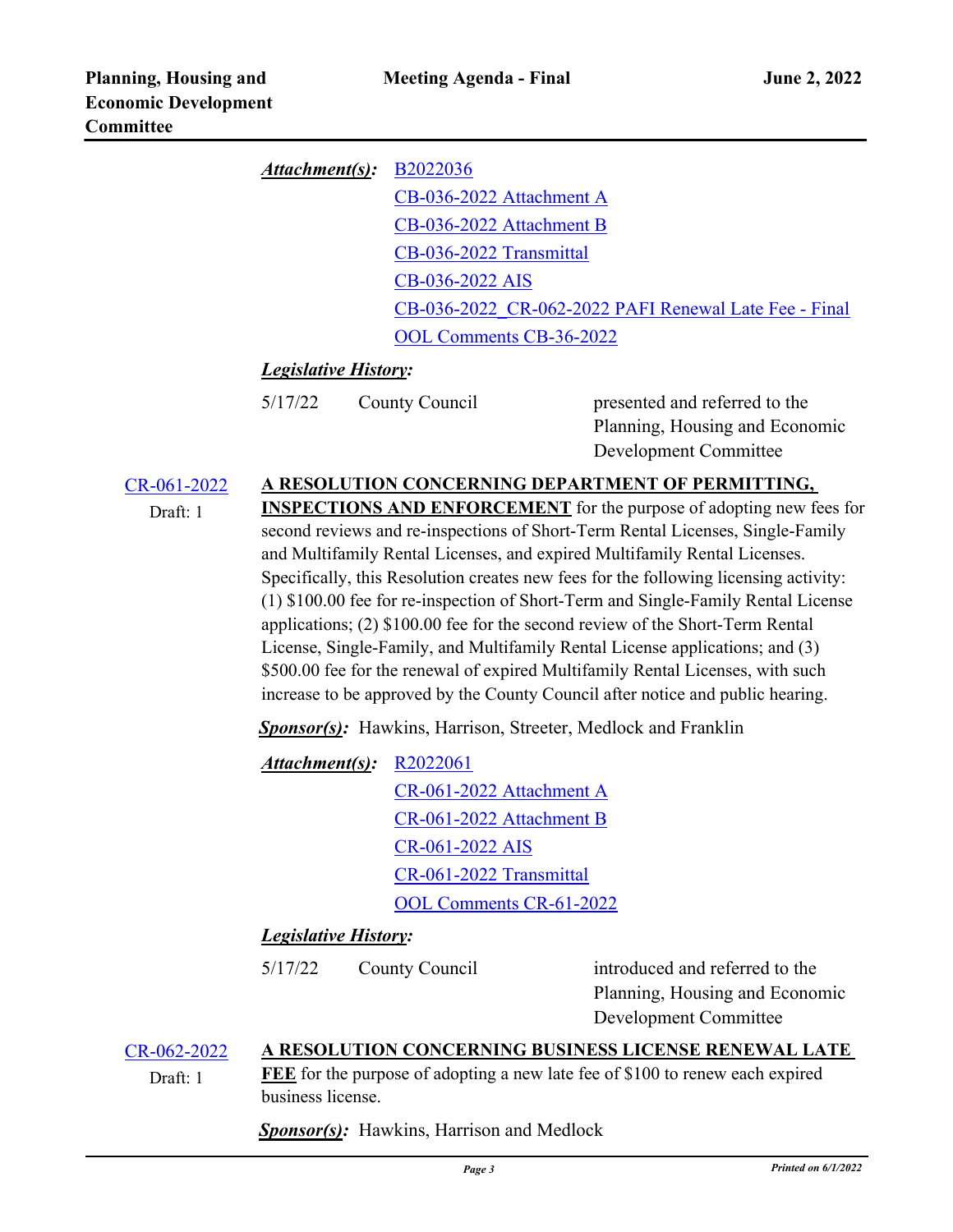| Attentionment(s): B2022036 |                                                       |
|----------------------------|-------------------------------------------------------|
|                            | CB-036-2022 Attachment A                              |
|                            | CB-036-2022 Attachment B                              |
|                            | CB-036-2022 Transmittal                               |
|                            | CB-036-2022 AIS                                       |
|                            | CB-036-2022 CR-062-2022 PAFI Renewal Late Fee - Final |
|                            | <b>OOL Comments CB-36-2022</b>                        |

## *Legislative History:*

presented and referred to the Planning, Housing and Economic Development Committee

## [CR-061-2022](http://princegeorgescountymd.legistar.com/gateway.aspx?m=l&id=/matter.aspx?key=14701) **A RESOLUTION CONCERNING DEPARTMENT OF PERMITTING,**

Draft: 1

**INSPECTIONS AND ENFORCEMENT** for the purpose of adopting new fees for second reviews and re-inspections of Short-Term Rental Licenses, Single-Family and Multifamily Rental Licenses, and expired Multifamily Rental Licenses. Specifically, this Resolution creates new fees for the following licensing activity: (1) \$100.00 fee for re-inspection of Short-Term and Single-Family Rental License applications; (2) \$100.00 fee for the second review of the Short-Term Rental License, Single-Family, and Multifamily Rental License applications; and (3) \$500.00 fee for the renewal of expired Multifamily Rental Licenses, with such increase to be approved by the County Council after notice and public hearing.

*Sponsor(s):* Hawkins, Harrison, Streeter, Medlock and Franklin

[R2022061](http://princegeorgescountymd.legistar.com/gateway.aspx?M=F&ID=04973422-87d2-4101-9f26-d2b391b78878.docx) [CR-061-2022 Attachment A](http://princegeorgescountymd.legistar.com/gateway.aspx?M=F&ID=6bab5387-0f0b-410a-8ae7-165486751be3.pdf) [CR-061-2022 Attachment B](http://princegeorgescountymd.legistar.com/gateway.aspx?M=F&ID=517b088c-8a18-4240-8a4c-b5b0148f8e09.xlsx) [CR-061-2022 AIS](http://princegeorgescountymd.legistar.com/gateway.aspx?M=F&ID=bd131181-9480-4979-b101-f70617032040.pdf) [CR-061-2022 Transmittal](http://princegeorgescountymd.legistar.com/gateway.aspx?M=F&ID=433e868a-22a2-4847-8b9d-c8f2b7970009.pdf) [OOL Comments CR-61-2022](http://princegeorgescountymd.legistar.com/gateway.aspx?M=F&ID=840cf27c-d91c-487b-91f2-73e67ee19988.pdf) *Attachment(s):*

## *Legislative History:*

5/17/22 County Council

introduced and referred to the Planning, Housing and Economic Development Committee

[CR-062-2022](http://princegeorgescountymd.legistar.com/gateway.aspx?m=l&id=/matter.aspx?key=14703) **A RESOLUTION CONCERNING BUSINESS LICENSE RENEWAL LATE** 

Draft: 1

**FEE** for the purpose of adopting a new late fee of \$100 to renew each expired business license.

*Sponsor(s):* Hawkins, Harrison and Medlock